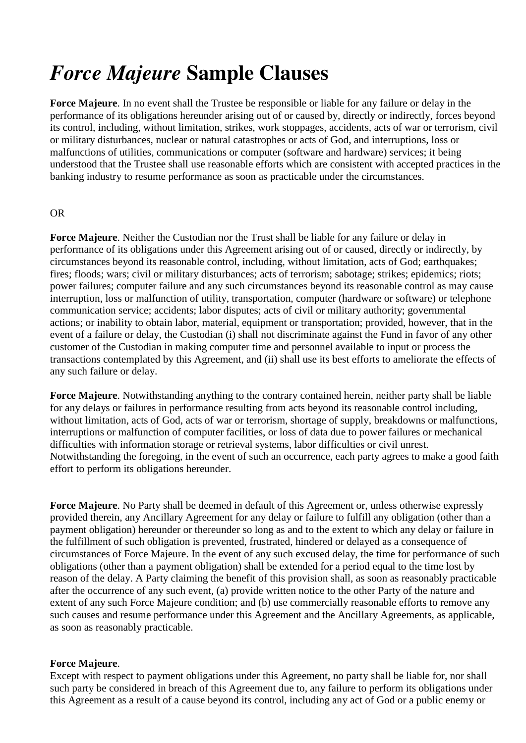# *Force Majeure* **Sample Clauses**

**Force Majeure**. In no event shall the Trustee be responsible or liable for any failure or delay in the performance of its obligations hereunder arising out of or caused by, directly or indirectly, forces beyond its control, including, without limitation, strikes, work stoppages, accidents, acts of war or terrorism, civil or military disturbances, nuclear or natural catastrophes or acts of God, and interruptions, loss or malfunctions of utilities, communications or computer (software and hardware) services; it being understood that the Trustee shall use reasonable efforts which are consistent with accepted practices in the banking industry to resume performance as soon as practicable under the circumstances.

# OR

**Force Majeure**. Neither the Custodian nor the Trust shall be liable for any failure or delay in performance of its obligations under this Agreement arising out of or caused, directly or indirectly, by circumstances beyond its reasonable control, including, without limitation, acts of God; earthquakes; fires; floods; wars; civil or military disturbances; acts of terrorism; sabotage; strikes; epidemics; riots; power failures; computer failure and any such circumstances beyond its reasonable control as may cause interruption, loss or malfunction of utility, transportation, computer (hardware or software) or telephone communication service; accidents; labor disputes; acts of civil or military authority; governmental actions; or inability to obtain labor, material, equipment or transportation; provided, however, that in the event of a failure or delay, the Custodian (i) shall not discriminate against the Fund in favor of any other customer of the Custodian in making computer time and personnel available to input or process the transactions contemplated by this Agreement, and (ii) shall use its best efforts to ameliorate the effects of any such failure or delay.

**Force Majeure**. Notwithstanding anything to the contrary contained herein, neither party shall be liable for any delays or failures in performance resulting from acts beyond its reasonable control including, without limitation, acts of God, acts of war or terrorism, shortage of supply, breakdowns or malfunctions, interruptions or malfunction of computer facilities, or loss of data due to power failures or mechanical difficulties with information storage or retrieval systems, labor difficulties or civil unrest. Notwithstanding the foregoing, in the event of such an occurrence, each party agrees to make a good faith effort to perform its obligations hereunder.

**Force Majeure**. No Party shall be deemed in default of this Agreement or, unless otherwise expressly provided therein, any Ancillary Agreement for any delay or failure to fulfill any obligation (other than a payment obligation) hereunder or thereunder so long as and to the extent to which any delay or failure in the fulfillment of such obligation is prevented, frustrated, hindered or delayed as a consequence of circumstances of Force Majeure. In the event of any such excused delay, the time for performance of such obligations (other than a payment obligation) shall be extended for a period equal to the time lost by reason of the delay. A Party claiming the benefit of this provision shall, as soon as reasonably practicable after the occurrence of any such event, (a) provide written notice to the other Party of the nature and extent of any such Force Majeure condition; and (b) use commercially reasonable efforts to remove any such causes and resume performance under this Agreement and the Ancillary Agreements, as applicable, as soon as reasonably practicable.

### **Force Majeure**.

Except with respect to payment obligations under this Agreement, no party shall be liable for, nor shall such party be considered in breach of this Agreement due to, any failure to perform its obligations under this Agreement as a result of a cause beyond its control, including any act of God or a public enemy or